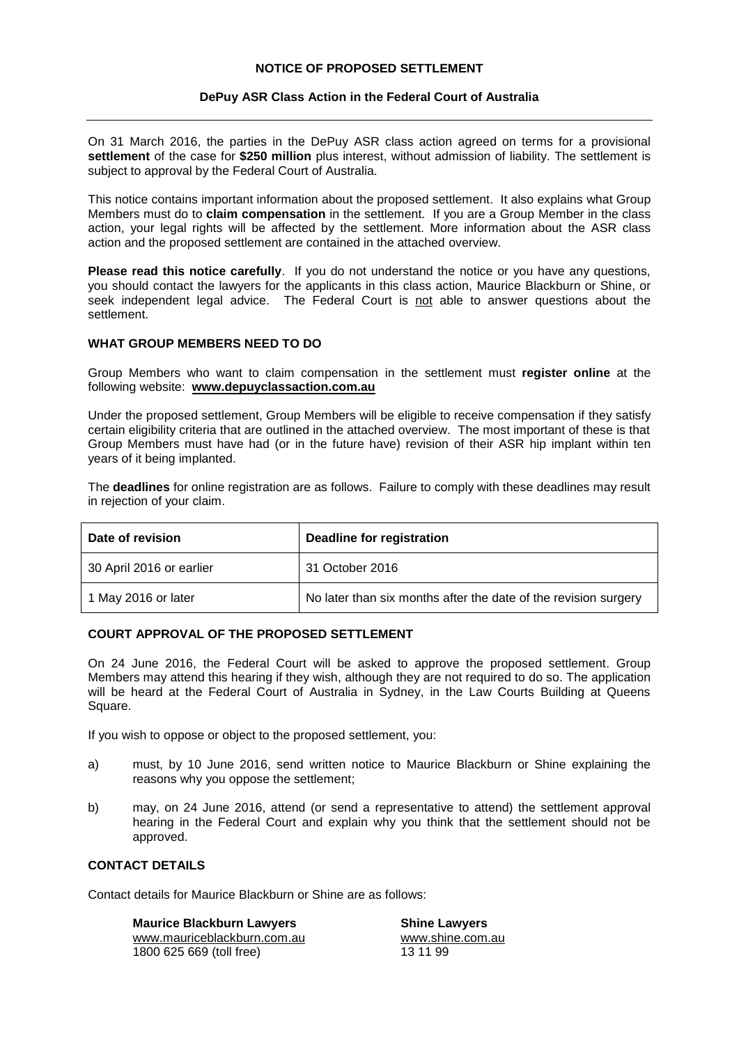## **NOTICE OF PROPOSED SETTLEMENT**

## **DePuy ASR Class Action in the Federal Court of Australia**

On 31 March 2016, the parties in the DePuy ASR class action agreed on terms for a provisional **settlement** of the case for **\$250 million** plus interest, without admission of liability. The settlement is subject to approval by the Federal Court of Australia.

This notice contains important information about the proposed settlement. It also explains what Group Members must do to **claim compensation** in the settlement. If you are a Group Member in the class action, your legal rights will be affected by the settlement. More information about the ASR class action and the proposed settlement are contained in the attached overview.

**Please read this notice carefully**. If you do not understand the notice or you have any questions, you should contact the lawyers for the applicants in this class action, Maurice Blackburn or Shine, or seek independent legal advice. The Federal Court is not able to answer questions about the settlement.

## **WHAT GROUP MEMBERS NEED TO DO**

Group Members who want to claim compensation in the settlement must **register online** at the following website: **[www.depuyclassaction.com.au](http://www.depuyclassaction.com.au/)**

Under the proposed settlement, Group Members will be eligible to receive compensation if they satisfy certain eligibility criteria that are outlined in the attached overview. The most important of these is that Group Members must have had (or in the future have) revision of their ASR hip implant within ten years of it being implanted.

The **deadlines** for online registration are as follows. Failure to comply with these deadlines may result in rejection of your claim.

| Date of revision         | Deadline for registration                                       |
|--------------------------|-----------------------------------------------------------------|
| 30 April 2016 or earlier | 31 October 2016                                                 |
| 1 May 2016 or later      | No later than six months after the date of the revision surgery |

### **COURT APPROVAL OF THE PROPOSED SETTLEMENT**

On 24 June 2016, the Federal Court will be asked to approve the proposed settlement. Group Members may attend this hearing if they wish, although they are not required to do so. The application will be heard at the Federal Court of Australia in Sydney, in the Law Courts Building at Queens Square.

If you wish to oppose or object to the proposed settlement, you:

- a) must, by 10 June 2016, send written notice to Maurice Blackburn or Shine explaining the reasons why you oppose the settlement;
- b) may, on 24 June 2016, attend (or send a representative to attend) the settlement approval hearing in the Federal Court and explain why you think that the settlement should not be approved.

## **CONTACT DETAILS**

Contact details for Maurice Blackburn or Shine are as follows:

**Maurice Blackburn Lawyers Shine Lawyers** [www.mauriceblackburn.com.au](http://www.mauriceblackburn.com.au/) [www.shine.com.au](http://www.shine.com.au/) 1800 625 669 (toll free) 13 11 99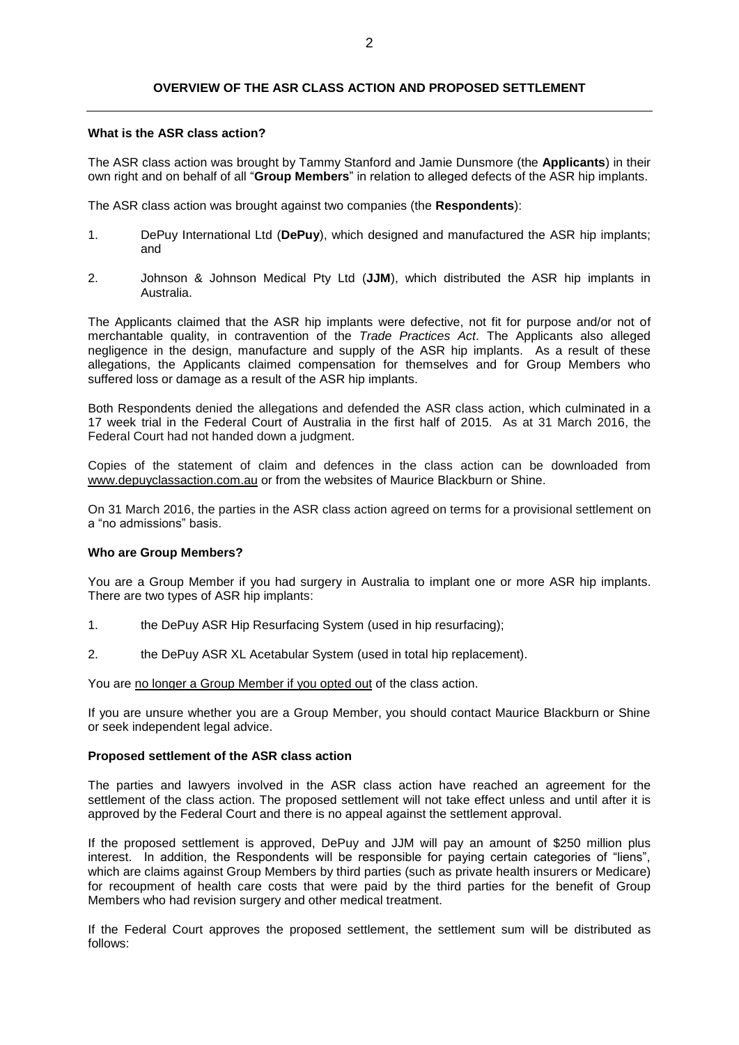## **OVERVIEW OF THE ASR CLASS ACTION AND PROPOSED SETTLEMENT**

### **What is the ASR class action?**

The ASR class action was brought by Tammy Stanford and Jamie Dunsmore (the **Applicants**) in their own right and on behalf of all "**Group Members**" in relation to alleged defects of the ASR hip implants.

The ASR class action was brought against two companies (the **Respondents**):

- 1. DePuy International Ltd (**DePuy**), which designed and manufactured the ASR hip implants; and
- 2. Johnson & Johnson Medical Pty Ltd (**JJM**), which distributed the ASR hip implants in Australia.

The Applicants claimed that the ASR hip implants were defective, not fit for purpose and/or not of merchantable quality, in contravention of the *Trade Practices Act*. The Applicants also alleged negligence in the design, manufacture and supply of the ASR hip implants. As a result of these allegations, the Applicants claimed compensation for themselves and for Group Members who suffered loss or damage as a result of the ASR hip implants.

Both Respondents denied the allegations and defended the ASR class action, which culminated in a 17 week trial in the Federal Court of Australia in the first half of 2015. As at 31 March 2016, the Federal Court had not handed down a judgment.

Copies of the statement of claim and defences in the class action can be downloaded from [www.depuyclassaction.com.au](http://www.depuyclassaction.com.au/) or from the websites of Maurice Blackburn or Shine.

On 31 March 2016, the parties in the ASR class action agreed on terms for a provisional settlement on a "no admissions" basis.

# **Who are Group Members?**

You are a Group Member if you had surgery in Australia to implant one or more ASR hip implants. There are two types of ASR hip implants:

- 1. the DePuy ASR Hip Resurfacing System (used in hip resurfacing);
- 2. the DePuy ASR XL Acetabular System (used in total hip replacement).

You are no longer a Group Member if you opted out of the class action.

If you are unsure whether you are a Group Member, you should contact Maurice Blackburn or Shine or seek independent legal advice.

#### **Proposed settlement of the ASR class action**

The parties and lawyers involved in the ASR class action have reached an agreement for the settlement of the class action. The proposed settlement will not take effect unless and until after it is approved by the Federal Court and there is no appeal against the settlement approval.

If the proposed settlement is approved, DePuy and JJM will pay an amount of \$250 million plus interest. In addition, the Respondents will be responsible for paying certain categories of "liens", which are claims against Group Members by third parties (such as private health insurers or Medicare) for recoupment of health care costs that were paid by the third parties for the benefit of Group Members who had revision surgery and other medical treatment.

If the Federal Court approves the proposed settlement, the settlement sum will be distributed as follows: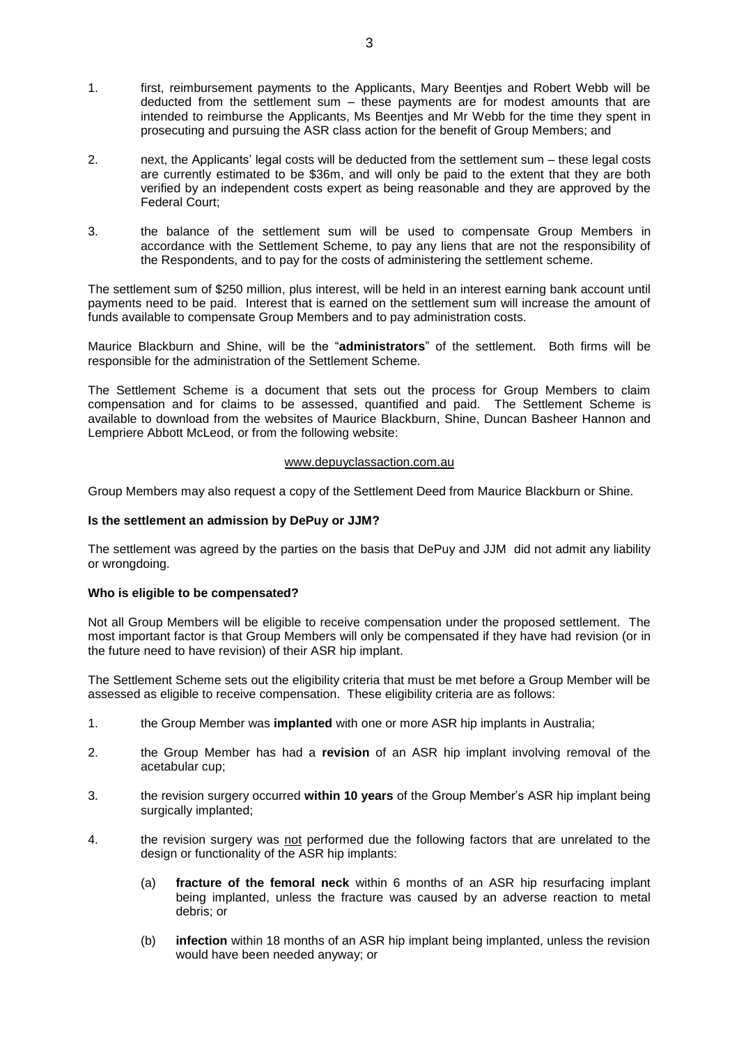- 1. first, reimbursement payments to the Applicants, Mary Beentjes and Robert Webb will be deducted from the settlement sum – these payments are for modest amounts that are intended to reimburse the Applicants, Ms Beentjes and Mr Webb for the time they spent in prosecuting and pursuing the ASR class action for the benefit of Group Members; and
- 2. next, the Applicants' legal costs will be deducted from the settlement sum these legal costs are currently estimated to be \$36m, and will only be paid to the extent that they are both verified by an independent costs expert as being reasonable and they are approved by the Federal Court;
- 3. the balance of the settlement sum will be used to compensate Group Members in accordance with the Settlement Scheme, to pay any liens that are not the responsibility of the Respondents, and to pay for the costs of administering the settlement scheme.

The settlement sum of \$250 million, plus interest, will be held in an interest earning bank account until payments need to be paid. Interest that is earned on the settlement sum will increase the amount of funds available to compensate Group Members and to pay administration costs.

Maurice Blackburn and Shine, will be the "**administrators**" of the settlement. Both firms will be responsible for the administration of the Settlement Scheme.

The Settlement Scheme is a document that sets out the process for Group Members to claim compensation and for claims to be assessed, quantified and paid. The Settlement Scheme is available to download from the websites of Maurice Blackburn, Shine, Duncan Basheer Hannon and Lempriere Abbott McLeod, or from the following website:

### [www.depuyclassaction.com.au](http://www.depuyclassaction.com.au/)

Group Members may also request a copy of the Settlement Deed from Maurice Blackburn or Shine.

### **Is the settlement an admission by DePuy or JJM?**

The settlement was agreed by the parties on the basis that DePuy and JJM did not admit any liability or wrongdoing.

### **Who is eligible to be compensated?**

Not all Group Members will be eligible to receive compensation under the proposed settlement. The most important factor is that Group Members will only be compensated if they have had revision (or in the future need to have revision) of their ASR hip implant.

The Settlement Scheme sets out the eligibility criteria that must be met before a Group Member will be assessed as eligible to receive compensation. These eligibility criteria are as follows:

- 1. the Group Member was **implanted** with one or more ASR hip implants in Australia;
- 2. the Group Member has had a **revision** of an ASR hip implant involving removal of the acetabular cup;
- 3. the revision surgery occurred **within 10 years** of the Group Member's ASR hip implant being surgically implanted;
- 4. the revision surgery was not performed due the following factors that are unrelated to the design or functionality of the ASR hip implants:
	- (a) **fracture of the femoral neck** within 6 months of an ASR hip resurfacing implant being implanted, unless the fracture was caused by an adverse reaction to metal debris; or
	- (b) **infection** within 18 months of an ASR hip implant being implanted, unless the revision would have been needed anyway; or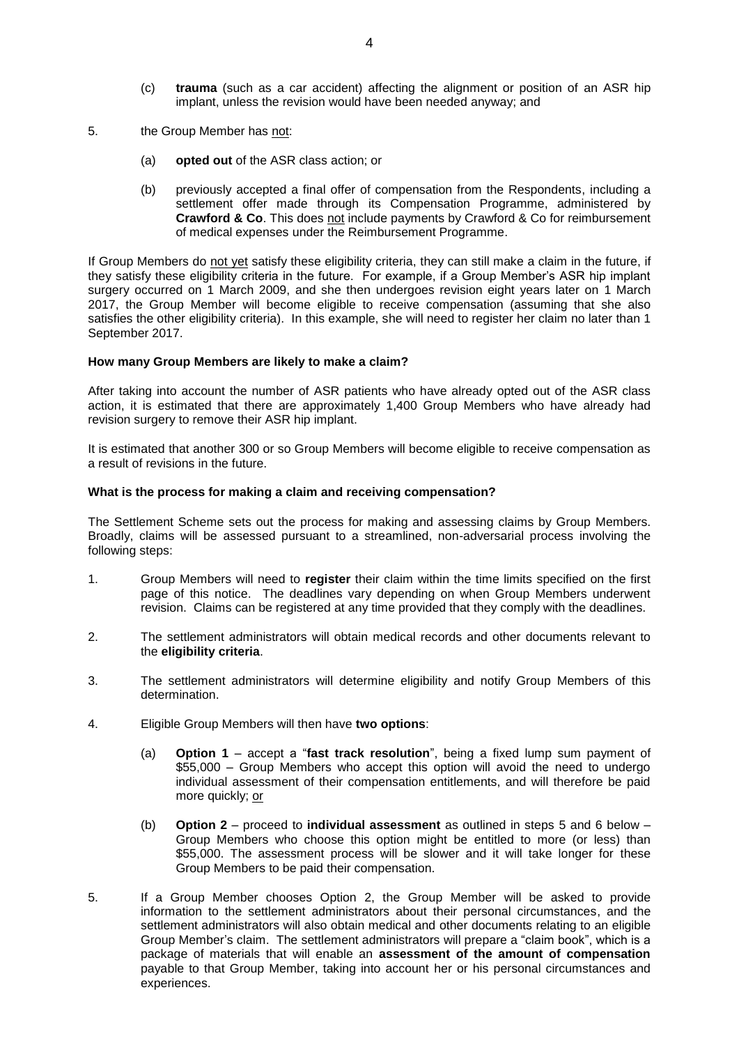- (c) **trauma** (such as a car accident) affecting the alignment or position of an ASR hip implant, unless the revision would have been needed anyway; and
- 5. the Group Member has not:
	- (a) **opted out** of the ASR class action; or
	- (b) previously accepted a final offer of compensation from the Respondents, including a settlement offer made through its Compensation Programme, administered by **Crawford & Co**. This does not include payments by Crawford & Co for reimbursement of medical expenses under the Reimbursement Programme.

If Group Members do not yet satisfy these eligibility criteria, they can still make a claim in the future, if they satisfy these eligibility criteria in the future. For example, if a Group Member's ASR hip implant surgery occurred on 1 March 2009, and she then undergoes revision eight years later on 1 March 2017, the Group Member will become eligible to receive compensation (assuming that she also satisfies the other eligibility criteria). In this example, she will need to register her claim no later than 1 September 2017.

#### **How many Group Members are likely to make a claim?**

After taking into account the number of ASR patients who have already opted out of the ASR class action, it is estimated that there are approximately 1,400 Group Members who have already had revision surgery to remove their ASR hip implant.

It is estimated that another 300 or so Group Members will become eligible to receive compensation as a result of revisions in the future.

#### **What is the process for making a claim and receiving compensation?**

The Settlement Scheme sets out the process for making and assessing claims by Group Members. Broadly, claims will be assessed pursuant to a streamlined, non-adversarial process involving the following steps:

- 1. Group Members will need to **register** their claim within the time limits specified on the first page of this notice. The deadlines vary depending on when Group Members underwent revision. Claims can be registered at any time provided that they comply with the deadlines.
- 2. The settlement administrators will obtain medical records and other documents relevant to the **eligibility criteria**.
- 3. The settlement administrators will determine eligibility and notify Group Members of this determination.
- 4. Eligible Group Members will then have **two options**:
	- (a) **Option 1** accept a "**fast track resolution**", being a fixed lump sum payment of \$55,000 – Group Members who accept this option will avoid the need to undergo individual assessment of their compensation entitlements, and will therefore be paid more quickly; or
	- (b) **Option 2** proceed to **individual assessment** as outlined in steps 5 and 6 below Group Members who choose this option might be entitled to more (or less) than \$55,000. The assessment process will be slower and it will take longer for these Group Members to be paid their compensation.
- 5. If a Group Member chooses Option 2, the Group Member will be asked to provide information to the settlement administrators about their personal circumstances, and the settlement administrators will also obtain medical and other documents relating to an eligible Group Member's claim. The settlement administrators will prepare a "claim book", which is a package of materials that will enable an **assessment of the amount of compensation** payable to that Group Member, taking into account her or his personal circumstances and experiences.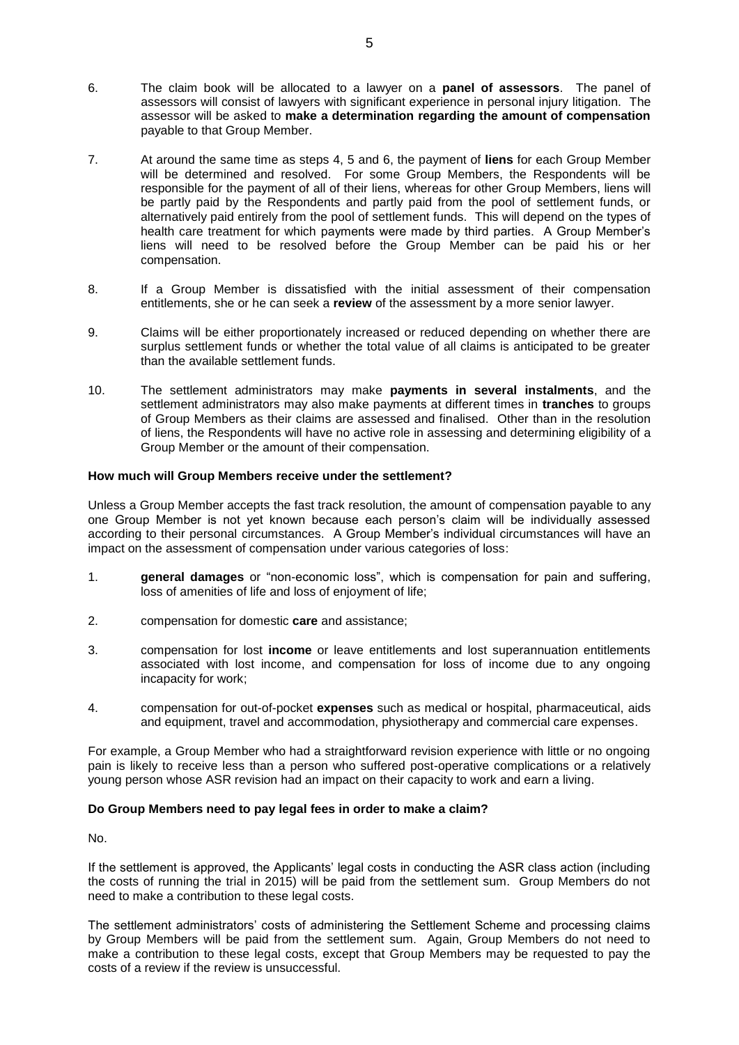- 6. The claim book will be allocated to a lawyer on a **panel of assessors**. The panel of assessors will consist of lawyers with significant experience in personal injury litigation. The assessor will be asked to **make a determination regarding the amount of compensation** payable to that Group Member.
- 7. At around the same time as steps 4, 5 and 6, the payment of **liens** for each Group Member will be determined and resolved. For some Group Members, the Respondents will be responsible for the payment of all of their liens, whereas for other Group Members, liens will be partly paid by the Respondents and partly paid from the pool of settlement funds, or alternatively paid entirely from the pool of settlement funds. This will depend on the types of health care treatment for which payments were made by third parties. A Group Member's liens will need to be resolved before the Group Member can be paid his or her compensation.
- 8. If a Group Member is dissatisfied with the initial assessment of their compensation entitlements, she or he can seek a **review** of the assessment by a more senior lawyer.
- 9. Claims will be either proportionately increased or reduced depending on whether there are surplus settlement funds or whether the total value of all claims is anticipated to be greater than the available settlement funds.
- 10. The settlement administrators may make **payments in several instalments**, and the settlement administrators may also make payments at different times in **tranches** to groups of Group Members as their claims are assessed and finalised. Other than in the resolution of liens, the Respondents will have no active role in assessing and determining eligibility of a Group Member or the amount of their compensation.

### **How much will Group Members receive under the settlement?**

Unless a Group Member accepts the fast track resolution, the amount of compensation payable to any one Group Member is not yet known because each person's claim will be individually assessed according to their personal circumstances. A Group Member's individual circumstances will have an impact on the assessment of compensation under various categories of loss:

- 1. **general damages** or "non-economic loss", which is compensation for pain and suffering, loss of amenities of life and loss of enjoyment of life;
- 2. compensation for domestic **care** and assistance;
- 3. compensation for lost **income** or leave entitlements and lost superannuation entitlements associated with lost income, and compensation for loss of income due to any ongoing incapacity for work;
- 4. compensation for out-of-pocket **expenses** such as medical or hospital, pharmaceutical, aids and equipment, travel and accommodation, physiotherapy and commercial care expenses.

For example, a Group Member who had a straightforward revision experience with little or no ongoing pain is likely to receive less than a person who suffered post-operative complications or a relatively young person whose ASR revision had an impact on their capacity to work and earn a living.

# **Do Group Members need to pay legal fees in order to make a claim?**

No.

If the settlement is approved, the Applicants' legal costs in conducting the ASR class action (including the costs of running the trial in 2015) will be paid from the settlement sum. Group Members do not need to make a contribution to these legal costs.

The settlement administrators' costs of administering the Settlement Scheme and processing claims by Group Members will be paid from the settlement sum. Again, Group Members do not need to make a contribution to these legal costs, except that Group Members may be requested to pay the costs of a review if the review is unsuccessful.